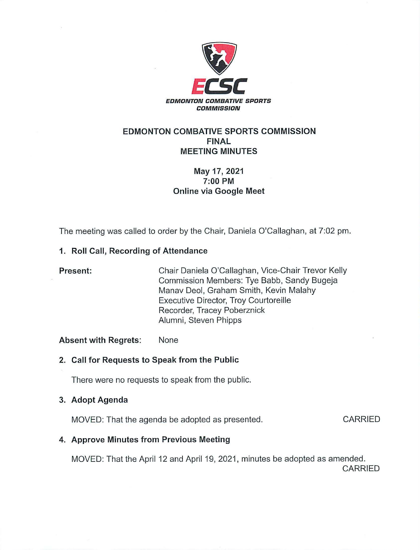

## **EDMONTON COMBATIVE SPORTS COMMISSION FINAL MEETING MINUTES**

# **May 17, 2021 7:00 PM Online via Google Meet**

The meeting was called to order by the Chair, Daniela O'Callaghan, at 7:02 pm.

## **1. Roll Call, Recording of Attendance**

## **Present:** Chair Daniela O'Callaghan, Vice-Chair Trevor Kelly Commission Members: Tye Babb, Sandy Bugeja Manav Deol, Graham Smith, Kevin Malahy Executive Director, Troy Courtoreille Recorder, Tracey Poberznick Alumni, Steven Phipps

### **Absent with Regrets:** None

## **2. Call for Requests to Speak from the Public**

There were no requests to speak from the public.

### **3. Adopt Agenda**

MOVED: That the agenda be adopted as presented.

CARRIED

## **4. Approve Minutes from Previous Meeting**

MOVED: That the April 12 and April 19, 2021, minutes be adopted as amended. CARRIED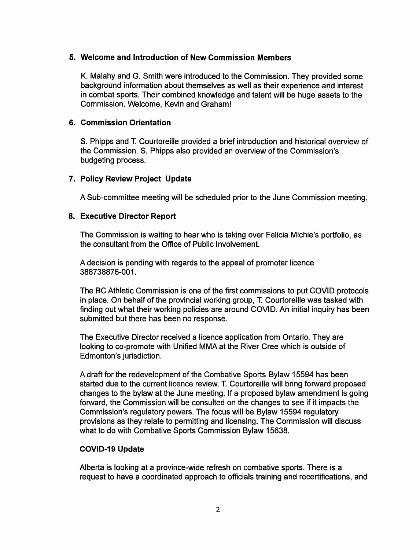#### **5. Welcome and Introduction of New Commission Members**

K. Malahy and G. Smith were introduced to the Commission. They provided some background information about themselves as well as their experience and interest in combat sports. Their combined knowledge and talent will be huge assets to the Commission. Welcome, Kevin and Graham!

#### **6. Commission Orientation**

S. Phipps and T. Courtoreille provided a brief introduction and historical overview of the Commission. S. Phipps also provided an overview of the Commission's budgeting process.

#### **7. Policy Review Project Update**

A Sub-committee meeting will be scheduled prior to the June Commission meeting.

#### **8. Executive Director Report**

The Commission is waiting to hear who is taking over Felicia Michie's portfolio, as the consultant from the Office of Public Involvement.

A decision is pending with regards to the appeal of promoter licence 388738876-001.

The BC Athletic Commission is one of the first commissions to put COVID protocols in place. On behalf of the provincial working group, T. Courtoreille was tasked with finding out what their working policies are around COVID. An initial inquiry has been submitted but there has been no response.

The Executive Director received a licence application from Ontario. They are looking to co-promote with Unified MMA at the River Cree which is outside of Edmonton's jurisdiction.

A draft for the redevelopment of the Combative Sports Bylaw 15594 has been started due to the current licence review. T. Courtoreille will bring forward proposed changes to the bylaw at the June meeting. If a proposed bylaw amendment is going forward, the Commission will be consulted on the changes to see if it impacts the Commission's regulatory powers. The focus will be Bylaw 15594 regulatory provisions as they relate to permitting and licensing. The Commission will discuss what to do with Combative Sports Commission Bylaw 15638.

### **COVID-19 Update**

Alberta is looking at a province-wide refresh on combative sports. There is a request to have a coordinated approach to officials training and recertifications, and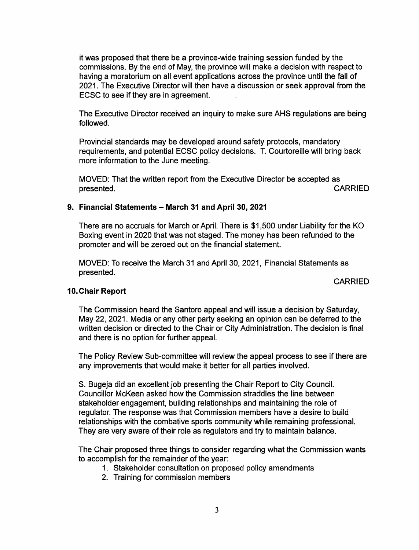it was proposed that there be a province-wide training session funded by the commissions. By the end of May, the province will make a decision with respect to having a moratorium on all event applications across the province until the fall of 2021. The Executive Director will then have a discussion or seek approval from the ECSC to see if they are in agreement.

The Executive Director received an inquiry to make sure AHS regulations are being followed.

Provincial standards may be developed around safety protocols, mandatory requirements, and potential ECSC policy decisions. T. Courtoreille will bring back more information to the June meeting.

MOVED: That the written report from the Executive Director be accepted as presented. CARRIED **presented.** 

#### **9. Financial Statements** - **March 31 and April 30, 2021**

There are no accruals for March or April. There is \$1,500 under Liability for the KO Boxing event in 2020 that was not staged. The money has been refunded to the promoter and will be zeroed out on the financial statement.

MOVED: To receive the March 31 and April 30, 2021, Financial Statements as presented.

CARRIED

### **10. Chair Report**

The Commission heard the Santoro appeal and will issue a decision by Saturday, May 22, 2021. Media or any other party seeking an opinion can be deferred to the written decision or directed to the Chair or City Administration. The decision is final and there is no option for further appeal.

The Policy Review Sub-committee will review the appeal process to see if there are any improvements that would make it better for all parties involved.

S. Bugeja did an excellent job presenting the Chair Report to City Council. Councillor McKeen asked how the Commission straddles the line between stakeholder engagement, building relationships and maintaining the role of regulator. The response was that Commission members have a desire to build relationships with the combative sports community while remaining professional. They are very aware of their role as regulators and try to maintain balance.

The Chair proposed three things to consider regarding what the Commission wants to accomplish for the remainder of the year:

- 1. Stakeholder consultation on proposed policy amendments
- 2. Training for commission members